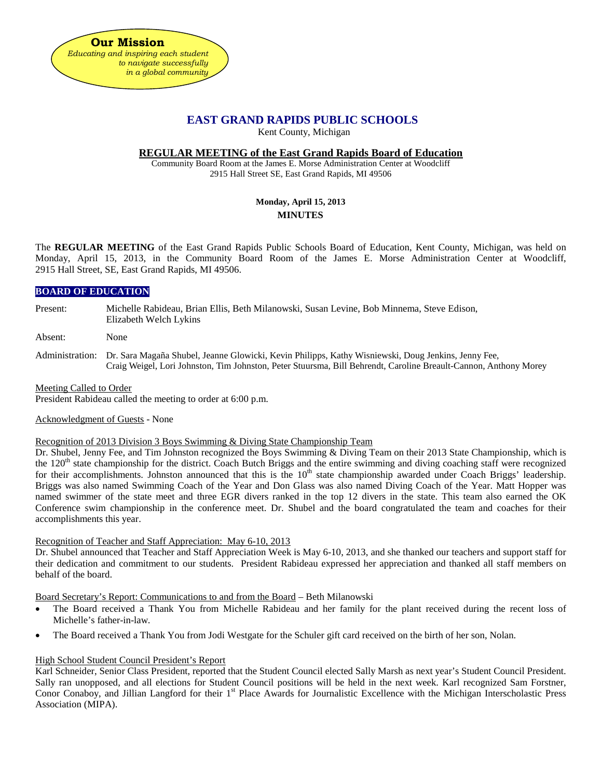# **EAST GRAND RAPIDS PUBLIC SCHOOLS**

Kent County, Michigan

### **REGULAR MEETING of the East Grand Rapids Board of Education**

Community Board Room at the James E. Morse Administration Center at Woodcliff 2915 Hall Street SE, East Grand Rapids, MI 49506

# **Monday, April 15, 2013 MINUTES**

The **REGULAR MEETING** of the East Grand Rapids Public Schools Board of Education, Kent County, Michigan, was held on Monday, April 15, 2013, in the Community Board Room of the James E. Morse Administration Center at Woodcliff, 2915 Hall Street, SE, East Grand Rapids, MI 49506.

## **BOARD OF EDUCATION**

Present: Michelle Rabideau, Brian Ellis, Beth Milanowski, Susan Levine, Bob Minnema, Steve Edison, Elizabeth Welch Lykins

Absent: None

Administration: Dr. Sara Magaña Shubel, Jeanne Glowicki, Kevin Philipps, Kathy Wisniewski, Doug Jenkins, Jenny Fee, Craig Weigel, Lori Johnston, Tim Johnston, Peter Stuursma, Bill Behrendt, Caroline Breault-Cannon, Anthony Morey

Meeting Called to Order

President Rabideau called the meeting to order at 6:00 p.m.

Acknowledgment of Guests - None

Recognition of 2013 Division 3 Boys Swimming & Diving State Championship Team

Dr. Shubel, Jenny Fee, and Tim Johnston recognized the Boys Swimming & Diving Team on their 2013 State Championship, which is the  $120<sup>th</sup>$  state championship for the district. Coach Butch Briggs and the entire swimming and diving coaching staff were recognized for their accomplishments. Johnston announced that this is the  $10<sup>th</sup>$  state championship awarded under Coach Briggs' leadership. Briggs was also named Swimming Coach of the Year and Don Glass was also named Diving Coach of the Year. Matt Hopper was named swimmer of the state meet and three EGR divers ranked in the top 12 divers in the state. This team also earned the OK Conference swim championship in the conference meet. Dr. Shubel and the board congratulated the team and coaches for their accomplishments this year.

Recognition of Teacher and Staff Appreciation: May 6-10, 2013

Dr. Shubel announced that Teacher and Staff Appreciation Week is May 6-10, 2013, and she thanked our teachers and support staff for their dedication and commitment to our students. President Rabideau expressed her appreciation and thanked all staff members on behalf of the board.

Board Secretary's Report: Communications to and from the Board – Beth Milanowski

- The Board received a Thank You from Michelle Rabideau and her family for the plant received during the recent loss of Michelle's father-in-law.
- The Board received a Thank You from Jodi Westgate for the Schuler gift card received on the birth of her son, Nolan.

## High School Student Council President's Report

Karl Schneider, Senior Class President, reported that the Student Council elected Sally Marsh as next year's Student Council President. Sally ran unopposed, and all elections for Student Council positions will be held in the next week. Karl recognized Sam Forstner, Conor Conaboy, and Jillian Langford for their 1<sup>st</sup> Place Awards for Journalistic Excellence with the Michigan Interscholastic Press Association (MIPA).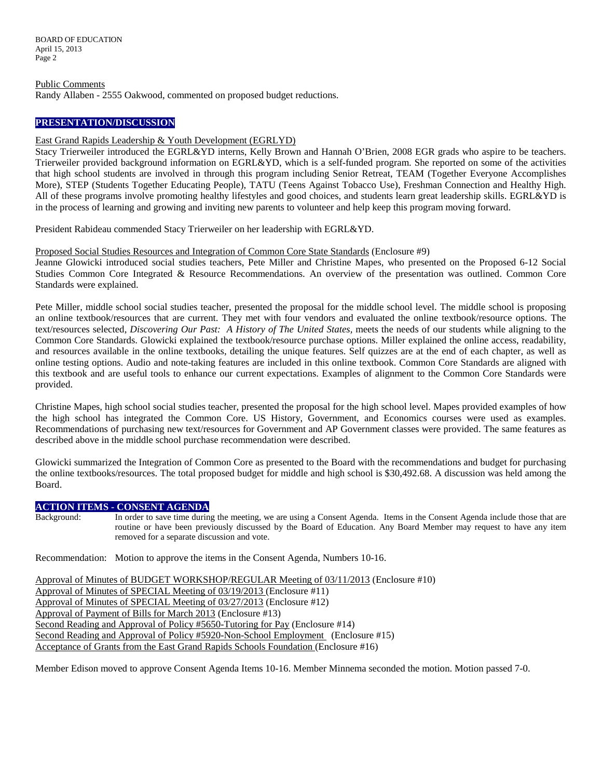BOARD OF EDUCATION April 15, 2013 Page 2

Public Comments Randy Allaben - 2555 Oakwood, commented on proposed budget reductions.

### **PRESENTATION/DISCUSSION**

### East Grand Rapids Leadership & Youth Development (EGRLYD)

Stacy Trierweiler introduced the EGRL&YD interns, Kelly Brown and Hannah O'Brien, 2008 EGR grads who aspire to be teachers. Trierweiler provided background information on EGRL&YD, which is a self-funded program. She reported on some of the activities that high school students are involved in through this program including Senior Retreat, TEAM (Together Everyone Accomplishes More), STEP (Students Together Educating People), TATU (Teens Against Tobacco Use), Freshman Connection and Healthy High. All of these programs involve promoting healthy lifestyles and good choices, and students learn great leadership skills. EGRL&YD is in the process of learning and growing and inviting new parents to volunteer and help keep this program moving forward.

President Rabideau commended Stacy Trierweiler on her leadership with EGRL&YD.

### Proposed Social Studies Resources and Integration of Common Core State Standards (Enclosure #9)

Jeanne Glowicki introduced social studies teachers, Pete Miller and Christine Mapes, who presented on the Proposed 6-12 Social Studies Common Core Integrated & Resource Recommendations. An overview of the presentation was outlined. Common Core Standards were explained.

Pete Miller, middle school social studies teacher, presented the proposal for the middle school level. The middle school is proposing an online textbook/resources that are current. They met with four vendors and evaluated the online textbook/resource options. The text/resources selected, *Discovering Our Past: A History of The United States,* meets the needs of our students while aligning to the Common Core Standards. Glowicki explained the textbook/resource purchase options. Miller explained the online access, readability, and resources available in the online textbooks, detailing the unique features. Self quizzes are at the end of each chapter, as well as online testing options. Audio and note-taking features are included in this online textbook. Common Core Standards are aligned with this textbook and are useful tools to enhance our current expectations. Examples of alignment to the Common Core Standards were provided.

Christine Mapes, high school social studies teacher, presented the proposal for the high school level. Mapes provided examples of how the high school has integrated the Common Core. US History, Government, and Economics courses were used as examples. Recommendations of purchasing new text/resources for Government and AP Government classes were provided. The same features as described above in the middle school purchase recommendation were described.

Glowicki summarized the Integration of Common Core as presented to the Board with the recommendations and budget for purchasing the online textbooks/resources. The total proposed budget for middle and high school is \$30,492.68. A discussion was held among the Board.

### **ACTION ITEMS - CONSENT AGENDA**

Background: In order to save time during the meeting, we are using a Consent Agenda. Items in the Consent Agenda include those that are routine or have been previously discussed by the Board of Education. Any Board Member may request to have any item removed for a separate discussion and vote.

Recommendation: Motion to approve the items in the Consent Agenda, Numbers 10-16.

Approval of Minutes of BUDGET WORKSHOP/REGULAR Meeting of 03/11/2013 (Enclosure #10) Approval of Minutes of SPECIAL Meeting of 03/19/2013 (Enclosure #11) Approval of Minutes of SPECIAL Meeting of 03/27/2013 (Enclosure #12) Approval of Payment of Bills for March 2013 (Enclosure #13) Second Reading and Approval of Policy #5650-Tutoring for Pay (Enclosure #14) Second Reading and Approval of Policy #5920-Non-School Employment (Enclosure #15) Acceptance of Grants from the East Grand Rapids Schools Foundation (Enclosure #16)

Member Edison moved to approve Consent Agenda Items 10-16. Member Minnema seconded the motion. Motion passed 7-0.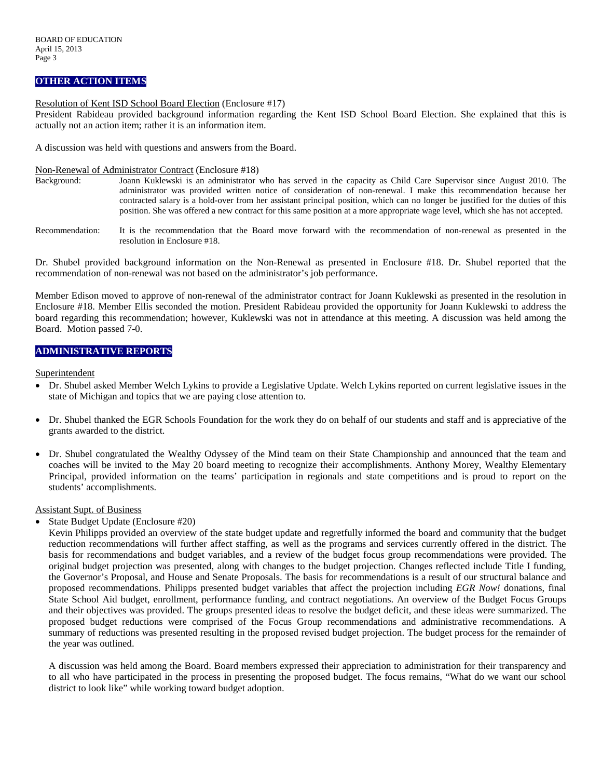## **OTHER ACTION ITEMS**

#### Resolution of Kent ISD School Board Election (Enclosure #17)

President Rabideau provided background information regarding the Kent ISD School Board Election. She explained that this is actually not an action item; rather it is an information item.

A discussion was held with questions and answers from the Board.

#### Non-Renewal of Administrator Contract (Enclosure #18)

- Background: Joann Kuklewski is an administrator who has served in the capacity as Child Care Supervisor since August 2010. The administrator was provided written notice of consideration of non-renewal. I make this recommendation because her contracted salary is a hold-over from her assistant principal position, which can no longer be justified for the duties of this position. She was offered a new contract for this same position at a more appropriate wage level, which she has not accepted.
- Recommendation: It is the recommendation that the Board move forward with the recommendation of non-renewal as presented in the resolution in Enclosure #18.

Dr. Shubel provided background information on the Non-Renewal as presented in Enclosure #18. Dr. Shubel reported that the recommendation of non-renewal was not based on the administrator's job performance.

Member Edison moved to approve of non-renewal of the administrator contract for Joann Kuklewski as presented in the resolution in Enclosure #18. Member Ellis seconded the motion. President Rabideau provided the opportunity for Joann Kuklewski to address the board regarding this recommendation; however, Kuklewski was not in attendance at this meeting. A discussion was held among the Board. Motion passed 7-0.

### **ADMINISTRATIVE REPORTS**

**Superintendent** 

- Dr. Shubel asked Member Welch Lykins to provide a Legislative Update. Welch Lykins reported on current legislative issues in the state of Michigan and topics that we are paying close attention to.
- Dr. Shubel thanked the EGR Schools Foundation for the work they do on behalf of our students and staff and is appreciative of the grants awarded to the district.
- Dr. Shubel congratulated the Wealthy Odyssey of the Mind team on their State Championship and announced that the team and coaches will be invited to the May 20 board meeting to recognize their accomplishments. Anthony Morey, Wealthy Elementary Principal, provided information on the teams' participation in regionals and state competitions and is proud to report on the students' accomplishments.

#### Assistant Supt. of Business

• State Budget Update (Enclosure #20)

Kevin Philipps provided an overview of the state budget update and regretfully informed the board and community that the budget reduction recommendations will further affect staffing, as well as the programs and services currently offered in the district. The basis for recommendations and budget variables, and a review of the budget focus group recommendations were provided. The original budget projection was presented, along with changes to the budget projection. Changes reflected include Title I funding, the Governor's Proposal, and House and Senate Proposals. The basis for recommendations is a result of our structural balance and proposed recommendations. Philipps presented budget variables that affect the projection including *EGR Now!* donations, final State School Aid budget, enrollment, performance funding, and contract negotiations. An overview of the Budget Focus Groups and their objectives was provided. The groups presented ideas to resolve the budget deficit, and these ideas were summarized. The proposed budget reductions were comprised of the Focus Group recommendations and administrative recommendations. A summary of reductions was presented resulting in the proposed revised budget projection. The budget process for the remainder of the year was outlined.

A discussion was held among the Board. Board members expressed their appreciation to administration for their transparency and to all who have participated in the process in presenting the proposed budget. The focus remains, "What do we want our school district to look like" while working toward budget adoption.